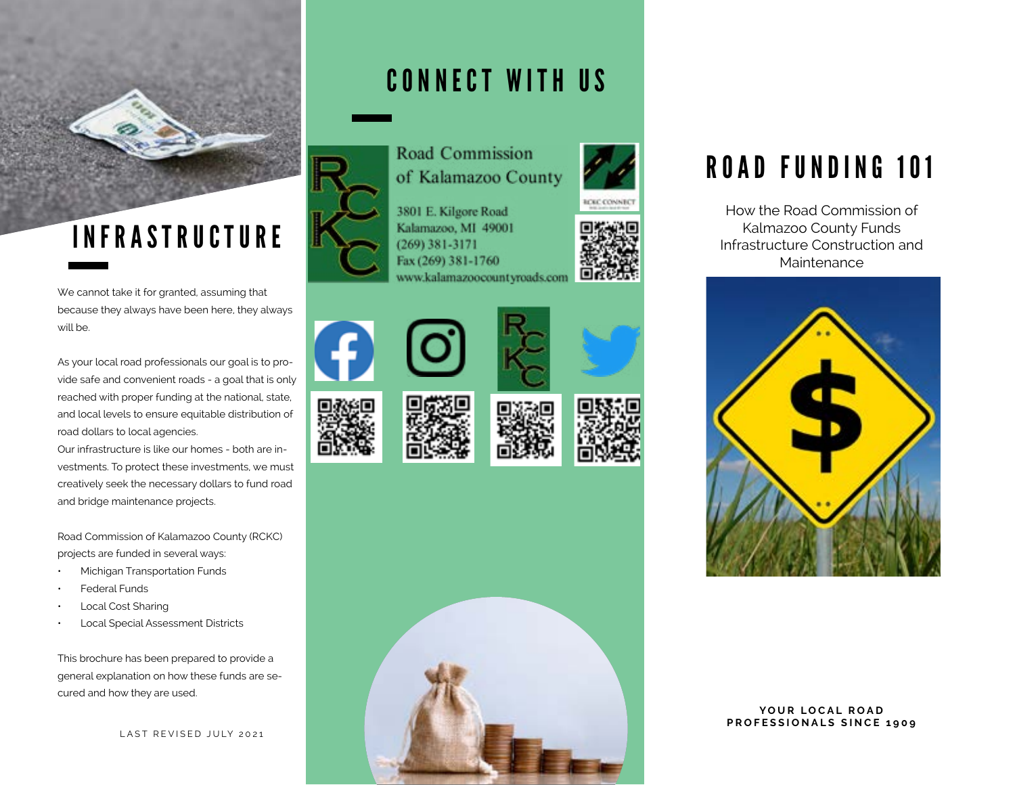

## INFRASTRUCTURE

We cannot take it for granted, assuming that because they always have been here, they always will be.

As your local road professionals our goal is to provide safe and convenient roads - a goal that is only reached with proper funding at the national, state, and local levels to ensure equitable distribution of road dollars to local agencies.

Our infrastructure is like our homes - both are investments. To protect these investments, we must creatively seek the necessary dollars to fund road and bridge maintenance projects.

Road Commission of Kalamazoo County (RCKC) projects are funded in several ways:

- Michigan Transportation Funds
- Federal Funds
- Local Cost Sharing
- Local Special Assessment Districts

This brochure has been prepared to provide a general explanation on how these funds are secured and how they are used.

LAST REVISED JULY 2021

### CONNECT WITH US



3801 E. Kilgore Road Kalamazoo, MI 49001  $(269)$  381-3171 Fax (269) 381-1760 www.kalamazoocountyroads.com

















### ROAD FUNDING 101

How the Road Commission of Kalmazoo County Funds Infrastructure Construction and Maintenance



YOUR LOCAL ROAD **PROFESSIONALS SINCE 1909**